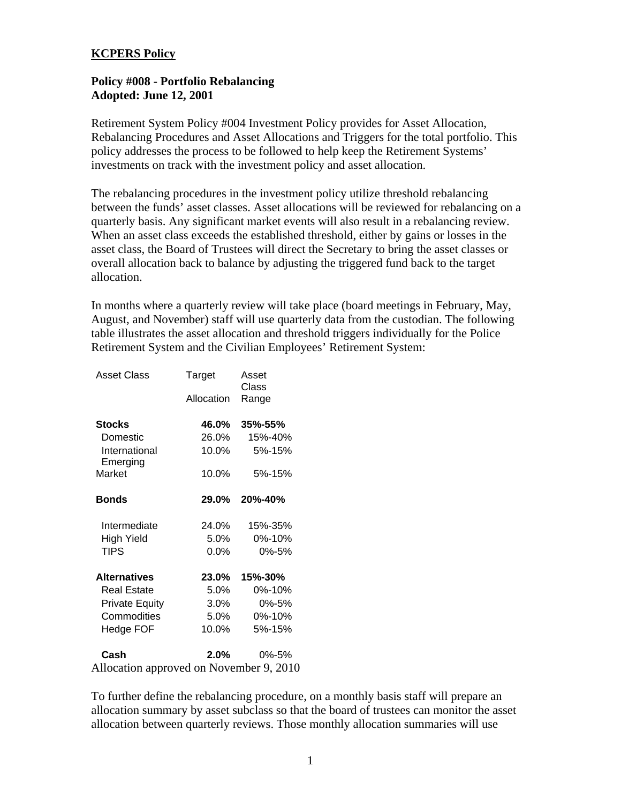## **KCPERS Policy**

## **Policy #008 - Portfolio Rebalancing Adopted: June 12, 2001**

Retirement System Policy #004 Investment Policy provides for Asset Allocation, Rebalancing Procedures and Asset Allocations and Triggers for the total portfolio. This policy addresses the process to be followed to help keep the Retirement Systems' investments on track with the investment policy and asset allocation.

The rebalancing procedures in the investment policy utilize threshold rebalancing between the funds' asset classes. Asset allocations will be reviewed for rebalancing on a quarterly basis. Any significant market events will also result in a rebalancing review. When an asset class exceeds the established threshold, either by gains or losses in the asset class, the Board of Trustees will direct the Secretary to bring the asset classes or overall allocation back to balance by adjusting the triggered fund back to the target allocation.

In months where a quarterly review will take place (board meetings in February, May, August, and November) staff will use quarterly data from the custodian. The following table illustrates the asset allocation and threshold triggers individually for the Police Retirement System and the Civilian Employees' Retirement System:

| Asset Class                             | Target     | Asset          |
|-----------------------------------------|------------|----------------|
|                                         |            | Class          |
|                                         | Allocation | Range          |
| Stocks                                  | 46.0%      | 35%-55%        |
| Domestic                                | 26.0%      | 15%-40%        |
| International<br>Emerging               | 10.0%      | 5%-15%         |
| Market                                  | 10.0%      | 5%-15%         |
| <b>Bonds</b>                            | $29.0\%$   | <b>20%-40%</b> |
| Intermediate                            | 24.0%      | 15%-35%        |
| High Yield                              | $5.0\%$    | 0%-10%         |
| <b>TIPS</b>                             | $0.0\%$    | $0\% - 5\%$    |
| <b>Alternatives</b>                     | 23.0%      | 15%-30%        |
| <b>Real Estate</b>                      | 5.0%       | 0%-10%         |
| <b>Private Equity</b>                   | 3.0%       | 0%-5%          |
| Commodities                             | $5.0\%$    | 0%-10%         |
| Hedge FOF                               | 10.0%      | 5%-15%         |
| Cash                                    | $2.0\%$    | 0%-5%          |
| Allocation approved on November 9, 2010 |            |                |

To further define the rebalancing procedure, on a monthly basis staff will prepare an allocation summary by asset subclass so that the board of trustees can monitor the asset allocation between quarterly reviews. Those monthly allocation summaries will use